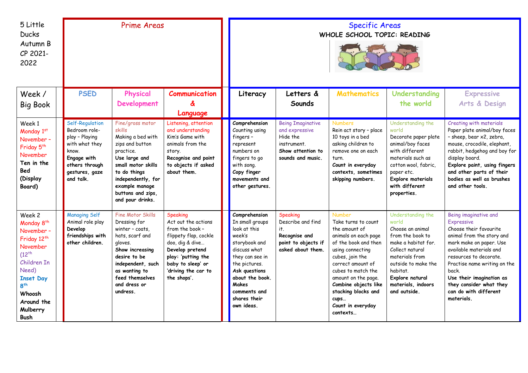| 5 Little<br><b>Ducks</b><br>Autumn B<br>CP 2021-<br>2022                                                                                                                                    | <b>Prime Areas</b>                                                                                                                            |                                                                                                                                                                                                                         |                                                                                                                                                                                                    | <b>Specific Areas</b><br>WHOLE SCHOOL TOPIC: READING                                                                                                                                                                              |                                                                                                                 |                                                                                                                                                                                                                                                                                                        |                                                                                                                                                                                                                            |                                                                                                                                                                                                                                                                                                                          |
|---------------------------------------------------------------------------------------------------------------------------------------------------------------------------------------------|-----------------------------------------------------------------------------------------------------------------------------------------------|-------------------------------------------------------------------------------------------------------------------------------------------------------------------------------------------------------------------------|----------------------------------------------------------------------------------------------------------------------------------------------------------------------------------------------------|-----------------------------------------------------------------------------------------------------------------------------------------------------------------------------------------------------------------------------------|-----------------------------------------------------------------------------------------------------------------|--------------------------------------------------------------------------------------------------------------------------------------------------------------------------------------------------------------------------------------------------------------------------------------------------------|----------------------------------------------------------------------------------------------------------------------------------------------------------------------------------------------------------------------------|--------------------------------------------------------------------------------------------------------------------------------------------------------------------------------------------------------------------------------------------------------------------------------------------------------------------------|
| Week /<br><b>Big Book</b>                                                                                                                                                                   | <b>PSED</b>                                                                                                                                   | Physical<br><b>Development</b>                                                                                                                                                                                          | <b>Communication</b><br>&<br>Language                                                                                                                                                              | Literacy                                                                                                                                                                                                                          | Letters &<br>Sounds                                                                                             | <b>Mathematics</b>                                                                                                                                                                                                                                                                                     | Understanding<br>the world                                                                                                                                                                                                 | <b>Expressive</b><br>Arts & Design                                                                                                                                                                                                                                                                                       |
| Week 1<br>Monday 1st<br>November -<br>Friday 5 <sup>th</sup><br>November<br>Ten in the<br>Bed<br>(Display<br>Board)                                                                         | Self-Regulation<br>Bedroom role-<br>play - Playing<br>with what they<br>know.<br>Engage with<br>others through<br>gestures, gaze<br>and talk. | Fine/gross motor<br>skills<br>Making a bed with<br>zips and button<br>practice.<br>Use large and<br>small motor skills<br>to do things<br>independently, for<br>example manage<br>buttons and zips,<br>and pour drinks. | Listening, attention<br>and understanding<br>Kim's Game with<br>animals from the<br>story.<br>Recognise and point<br>to objects if asked<br>about them.                                            | Comprehension<br>Counting using<br>fingers-<br>represent<br>numbers on<br>fingers to go<br>with song.<br>Copy finger<br>movements and<br>other gestures.                                                                          | <b>Being Imaginative</b><br>and expressive<br>Hide the<br>instrument.<br>Show attention to<br>sounds and music. | <b>Numbers</b><br>Rein act story - place<br>10 toys in a bed<br>asking children to<br>remove one on each<br>turn.<br>Count in everyday<br>contexts, sometimes<br>skipping numbers.                                                                                                                     | Understanding the<br>world<br>Decorate paper plate<br>animal/boy faces<br>with different<br>materials such as<br>cotton wool, fabric,<br>paper etc.<br>Explore materials<br>with different<br>properties.                  | Creating with materials<br>Paper plate animal/boy faces<br>- sheep, bear x2, zebra,<br>mouse, crocodile, elephant,<br>rabbit, hedgehog and boy for<br>display board.<br>Explore paint, using fingers<br>and other parts of their<br>bodies as well as brushes<br>and other tools.                                        |
| Week 2<br>Monday 8 <sup>th</sup><br>November -<br>Friday 12th<br>November<br>$(12^{th}$<br>Children In<br>Need)<br><b>Inset Day</b><br>$R^{th}$<br>Whoosh<br>Around the<br>Mulberry<br>Bush | <b>Managing Self</b><br>Animal role play<br>Develop<br>friendships with<br>other children.                                                    | Fine Motor Skills<br>Dressing for<br>winter - coats,<br>hats, scarf and<br>gloves.<br>Show increasing<br>desire to be<br>independent, such<br>as wanting to<br>feed themselves<br>and dress or<br>undress.              | Speaking<br>Act out the actions<br>from the book -<br>flippety flap, cockle<br>doo, dig & dive<br>Develop pretend<br>play: 'putting the<br>baby to sleep' or<br>'driving the car to<br>the shops'. | Comprehension<br>In small groups<br>look at this<br>week's<br>storybook and<br>discuss what<br>they can see in<br>the pictures.<br>Ask questions<br>about the book.<br><b>Makes</b><br>comments and<br>shares their<br>own ideas. | Speaking<br>Describe and find<br>it.<br>Recognise and<br>point to objects if<br>asked about them.               | <b>Number</b><br>Take turns to count<br>the amount of<br>animals on each page<br>of the book and then<br>using connecting<br>cubes, join the<br>correct amount of<br>cubes to match the<br>amount on the page.<br>Combine objects like<br>stacking blocks and<br>cups<br>Count in everyday<br>contexts | Understanding the<br>world<br>Choose an animal<br>from the book to<br>make a habitat for.<br>Collect natural<br>materials from<br>outside to make the<br>habitat.<br>Explore natural<br>materials, indoors<br>and outside. | Being imaginative and<br><b>Expressive</b><br>Choose their favourite<br>animal from the story and<br>mark make on paper. Use<br>available materials and<br>resources to decorate.<br>Practise name writing on the<br>back.<br>Use their imagination as<br>they consider what they<br>can do with different<br>materials. |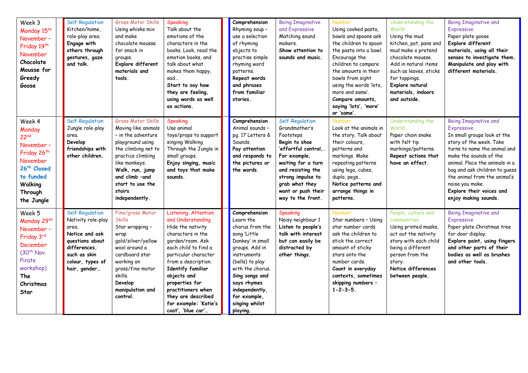| Week 3<br>Monday 15 <sup>th</sup><br>November -<br>Friday 19th<br>November<br>Chocolate<br>Mousse for<br>Greedy<br>Goose                                                     | Self-Regulation<br>Kitchen/home,<br>role-play area.<br>Engage with<br>others through<br>gestures, gaze<br>and talk.                                     | <b>Gross Motor Skills</b><br>Using whisks mix<br>and make<br>chocolate mousse<br>for snack in<br>groups.<br>Explore different<br>materials and<br>tools.                                                                                     | Speaking<br>Talk about the<br>emotions of the<br>characters in the<br>books. Look, read the<br>emotion books, and<br>talk about what<br>makes them happy,<br>sad<br>Start to say how<br>they are feeling,<br>using words as well<br>as actions.                                                                                | Comprehension<br>Rhyming soup -<br>use a selection<br>of rhyming<br>objects to<br>practise simple<br>rhyming word<br>patterns.<br>Repeat words<br>and phrases<br>from familiar<br>stories.                                                                 | <b>Being Imaginative</b><br>and Expressive<br>Matching sound<br>makers.<br>Show attention to<br>sounds and music.                                                                                                                   | <b>Number</b><br>Using cooked pasta,<br>bowls and spoons ask<br>the children to spoon<br>the pasta into a bowl.<br>Encourage the<br>children to compare<br>the amounts in their<br>bowls from sight<br>using the words 'lots,<br>more and same'.<br>Compare amounts,<br>saying 'lots', 'more'<br>or 'same'. | Understanding the<br>World<br>Using the mud<br>kitchen, pot, pans and<br>mud make a pretend<br>chocolate mousse.<br>Add in natural items<br>such as leaves, sticks<br>for toppings.<br>Explore natural<br>materials, indoors<br>and outside. | <b>Being Imaginative and</b><br><b>Expressive</b><br>Paper plate goose<br>Explore different<br>materials, using all their<br>senses to investigate them.<br>Manipulate and play with<br>different materials.                                                                                                                             |
|------------------------------------------------------------------------------------------------------------------------------------------------------------------------------|---------------------------------------------------------------------------------------------------------------------------------------------------------|----------------------------------------------------------------------------------------------------------------------------------------------------------------------------------------------------------------------------------------------|--------------------------------------------------------------------------------------------------------------------------------------------------------------------------------------------------------------------------------------------------------------------------------------------------------------------------------|------------------------------------------------------------------------------------------------------------------------------------------------------------------------------------------------------------------------------------------------------------|-------------------------------------------------------------------------------------------------------------------------------------------------------------------------------------------------------------------------------------|-------------------------------------------------------------------------------------------------------------------------------------------------------------------------------------------------------------------------------------------------------------------------------------------------------------|----------------------------------------------------------------------------------------------------------------------------------------------------------------------------------------------------------------------------------------------|------------------------------------------------------------------------------------------------------------------------------------------------------------------------------------------------------------------------------------------------------------------------------------------------------------------------------------------|
| Week 4<br>Monday<br>22 <sup>nd</sup><br>November -<br>Friday 26 <sup>th</sup><br>November<br>26 <sup>th</sup> Closed<br>to funded<br><b>Walking</b><br>Through<br>the Jungle | Self-Regulation<br>Jungle role-play<br>area.<br>Develop<br>friendships with<br>other children.                                                          | <b>Gross Motor Skills</b><br>Moving like animals<br>- in the adventure<br>playground using<br>the climbing net to<br>practice climbing<br>like monkeys.<br>Walk, run, jump<br>and climb -and<br>start to use the<br>stairs<br>independently. | Speaking<br>Use animal<br>toys/props to support<br>singing Walking<br>Through the Jungle in<br>small groups.<br>Enjoy singing, music<br>and toys that make<br>sounds.                                                                                                                                                          | Comprehension<br>Animal sounds -<br>pg. 17 Letters &<br>Sounds.<br>Pay attention<br>and responds to<br>the pictures or<br>the words.                                                                                                                       | Self-Regulation<br>Grandmother's<br>Footsteps<br>Begin to shoe<br>'effortful control,.<br>For example,<br>waiting for a turn<br>and resisting the<br>strong impulse to<br>grab what they<br>want or push their<br>way to the front. | <b>Number</b><br>Look at the animals in<br>the story. Talk about<br>their colours,<br>patterns and<br>markings. Make<br>repeating patterns<br>using lego, cubes,<br>duplo, pegs<br>Notice patterns and<br>arrange things in<br>patterns.                                                                    | Understanding the<br>World<br>Paper chain snake<br>with felt tip<br>markings/patterns.<br>Repeat actions that<br>have an effect.                                                                                                             | <b>Being Imaginative and</b><br>Expressive<br>In small groups look at the<br>story of the week. Take<br>turns to name the animal and<br>make the sounds of the<br>animal. Place the animals in a<br>bag and ask children to guess<br>the animal from the animal's<br>noise you make.<br>Explore their voices and<br>enjoy making sounds. |
| Week 5<br>Monday 29th<br>November -<br>Friday 3rd<br>December<br>(30 <sup>th</sup> Nov<br>Pirate<br>workshop)<br>The<br>Christmas<br>Star                                    | Self-Regulation<br>Nativity role-play<br>area.<br>Notice and ask<br>questions about<br>differences,<br>such as skin<br>colour, types of<br>hair, gender | Fine/gross Motor<br><b>Skills</b><br>Star wrapping -<br>wrap<br>gold/silver/yellow<br>wool around a<br>cardboard star<br>working on<br>gross/fine motor<br>skills.<br>Develop<br>manipulation and<br>control.                                | Listening, Attention<br>and Understanding<br>Hide the nativity<br>characters in the<br>garden/room. Ask<br>each child to find a<br>particular character<br>from a description.<br>Identify familiar<br>objects and<br>properties for<br>practitioners when<br>they are described<br>for example: 'Katie's<br>coat', 'blue car' | Comprehension<br>Learn the<br>chorus from the<br>song 'Little<br>Donkey' in small<br>groups. Add in<br>instruments<br>(bells) to play<br>with the chorus.<br>Sing songs and<br>says rhymes<br>independently,<br>for example,<br>singing whilst<br>playing. | Speaking<br>Noisy neighbour 1<br>Listen to people's<br>talk with interest<br>but can easily be<br>distracted by<br>other things.                                                                                                    | <b>Number</b><br>Star numbers - Using<br>star number cards<br>ask the children to<br>stick the correct<br>amount of sticky<br>stars onto the<br>number cards.<br>Count in everyday<br>contexts, sometimes<br>skipping numbers -<br>$1 - 2 - 3 - 5$ .                                                        | People, culture and<br>communities<br>Using printed masks,<br>act out the nativity<br>story with each child<br>being a different<br>person from the<br>story.<br>Notice differences<br>between people.                                       | <b>Being Imaginative and</b><br>Expressive<br>Paper plate Christmas tree<br>for door display.<br>Explore paint, using fingers<br>and other parts of their<br>bodies as well as brushes<br>and other tools.                                                                                                                               |